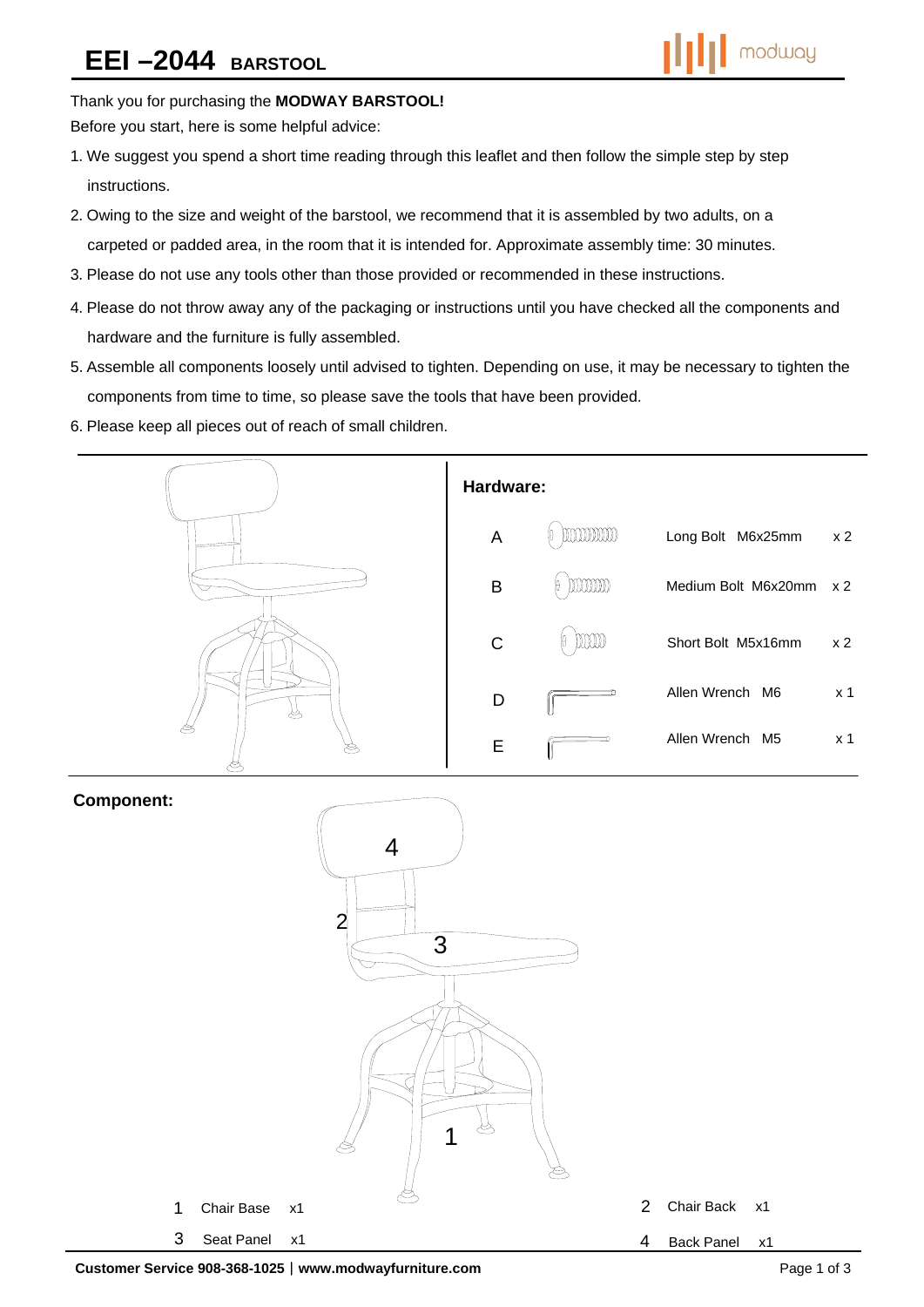## Thank you for purchasing the **MODWAY BARSTOOL!**

Before you start, here is some helpful advice:

- 1.We suggest you spend a short time reading through this leaflet and then follow the simple step by step instructions.
- 2.Owing to the size and weight of the barstool, we recommend that it is assembled by two adults, on a carpeted or padded area, in the room that it is intended for. Approximate assembly time: 30 minutes.
- 3.Please do not use any tools other than those provided or recommended in these instructions.
- 4.Please do not throw away any of the packaging or instructions until you have checked all the components and hardware and the furniture is fully assembled.
- 5.Assemble all components loosely until advised to tighten. Depending on use, it may be necessary to tighten the components from time to time, so please save the tools that have been provided.
- 6.Please keep all pieces out of reach of small children.



### **Component:**

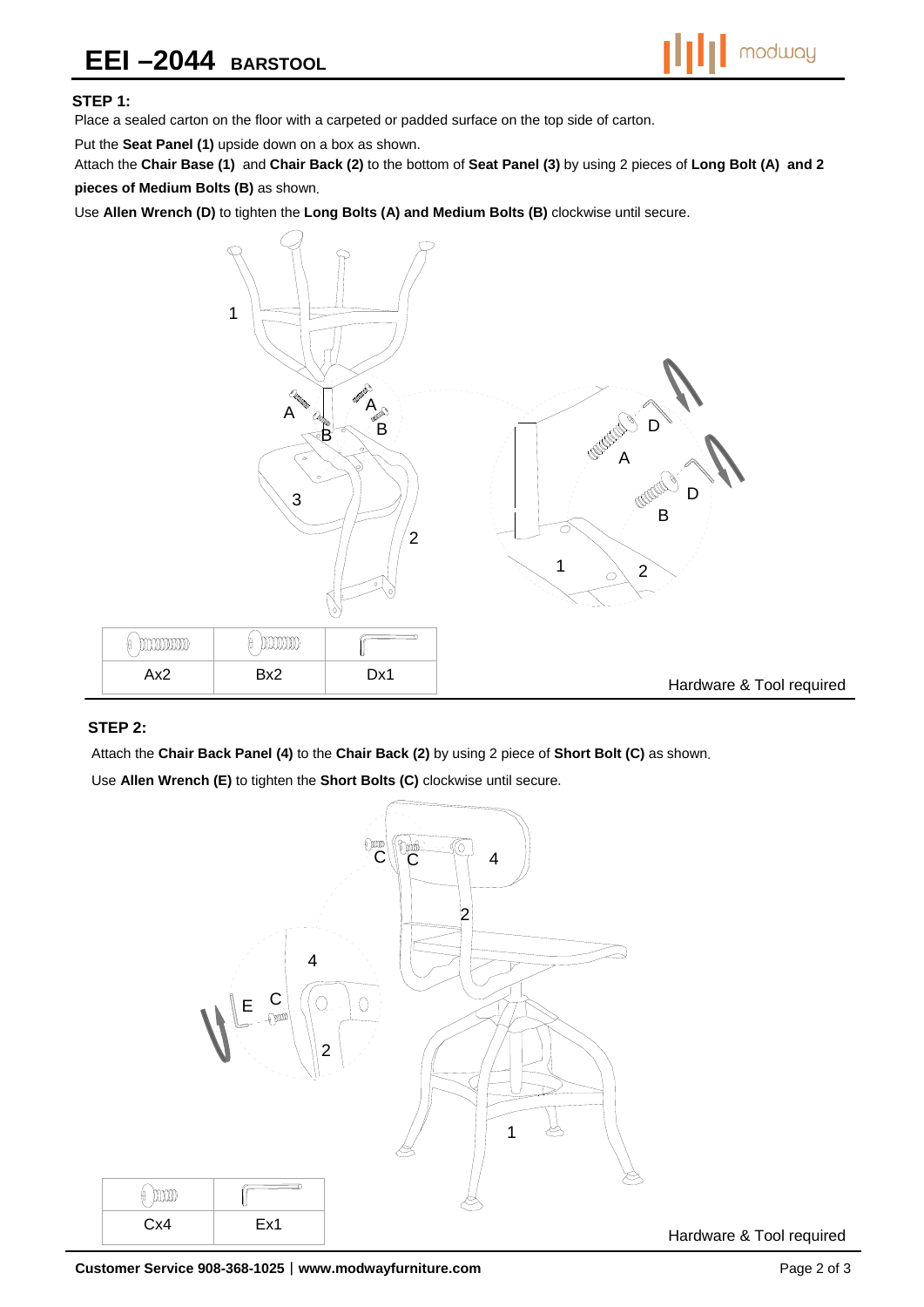# **EEI –2044 BARSTOOL**



#### **STEP 1:**

Place a sealed carton on the floor with a carpeted or padded surface on the top side of carton.

Put the **Seat Panel (1)** upside down on a box as shown.

Attach the **Chair Base (1)** and **Chair Back (2)** to the bottom of **Seat Panel (3)** by using 2 pieces of **Long Bolt (A) and 2 pieces of Medium Bolts (B)** as shown.

Use **Allen Wrench (D)** to tighten the **Long Bolts (A) and Medium Bolts (B)** clockwise until secure.



#### **STEP 2:**

Attach the **Chair Back Panel (4)** to the **Chair Back (2)** by using 2 piece of **Short Bolt (C)** as shown.

Use **Allen Wrench (E)** to tighten the **Short Bolts (C)** clockwise until secure.